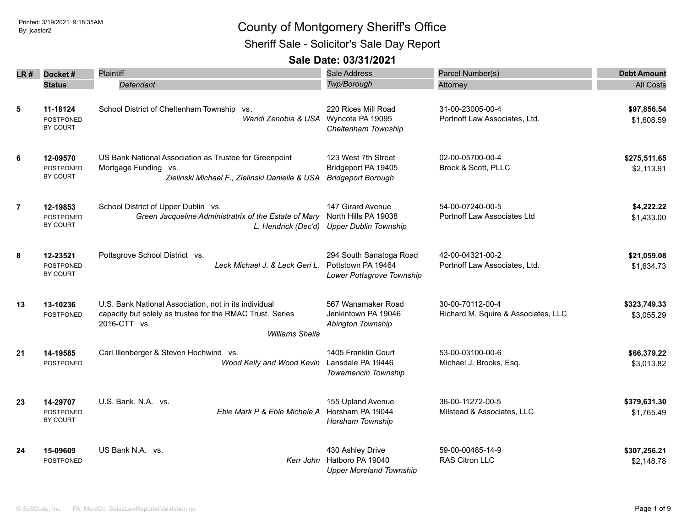Sheriff Sale - Solicitor's Sale Day Report

|                | $LR#$ Docket#                            | <b>Plaintiff</b>                                                                                                                                             | <b>Sale Address</b>                                                                    | Parcel Number(s)                                        | <b>Debt Amount</b>         |
|----------------|------------------------------------------|--------------------------------------------------------------------------------------------------------------------------------------------------------------|----------------------------------------------------------------------------------------|---------------------------------------------------------|----------------------------|
|                | <b>Status</b>                            | Defendant                                                                                                                                                    | Twp/Borough                                                                            | Attorney                                                | <b>All Costs</b>           |
| 5              | 11-18124<br><b>POSTPONED</b><br>BY COURT | School District of Cheltenham Township vs.                                                                                                                   | 220 Rices Mill Road<br>Waridi Zenobia & USA Wyncote PA 19095<br>Cheltenham Township    | 31-00-23005-00-4<br>Portnoff Law Associates, Ltd.       | \$97,856.54<br>\$1,608.59  |
| 6              | 12-09570<br><b>POSTPONED</b><br>BY COURT | US Bank National Association as Trustee for Greenpoint<br>Mortgage Funding vs.<br>Zielinski Michael F., Zielinski Danielle & USA                             | 123 West 7th Street<br>Bridgeport PA 19405<br><b>Bridgeport Borough</b>                | 02-00-05700-00-4<br>Brock & Scott, PLLC                 | \$275,511.65<br>\$2,113.91 |
| $\overline{7}$ | 12-19853<br><b>POSTPONED</b><br>BY COURT | School District of Upper Dublin vs.<br>Green Jacqueline Administratrix of the Estate of Mary                                                                 | 147 Girard Avenue<br>North Hills PA 19038<br>L. Hendrick (Dec'd) Upper Dublin Township | 54-00-07240-00-5<br>Portnoff Law Associates Ltd         | \$4,222.22<br>\$1,433.00   |
| 8              | 12-23521<br><b>POSTPONED</b><br>BY COURT | Pottsgrove School District vs.<br>Leck Michael J. & Leck Geri L.                                                                                             | 294 South Sanatoga Road<br>Pottstown PA 19464<br>Lower Pottsgrove Township             | 42-00-04321-00-2<br>Portnoff Law Associates, Ltd.       | \$21,059.08<br>\$1,634.73  |
| 13             | 13-10236<br><b>POSTPONED</b>             | U.S. Bank National Association, not in its individual<br>capacity but solely as trustee for the RMAC Trust, Series<br>2016-CTT vs.<br><b>Williams Sheila</b> | 567 Wanamaker Road<br>Jenkintown PA 19046<br>Abington Township                         | 30-00-70112-00-4<br>Richard M. Squire & Associates, LLC | \$323,749.33<br>\$3,055.29 |
| 21             | 14-19585<br>POSTPONED                    | Carl Illenberger & Steven Hochwind vs.<br>Wood Kelly and Wood Kevin                                                                                          | 1405 Franklin Court<br>Lansdale PA 19446<br>Towamencin Township                        | 53-00-03100-00-6<br>Michael J. Brooks, Esq.             | \$66,379.22<br>\$3,013.82  |
| 23             | 14-29707<br>POSTPONED<br>BY COURT        | U.S. Bank, N.A. vs.<br>Eble Mark P & Eble Michele A                                                                                                          | 155 Upland Avenue<br>Horsham PA 19044<br>Horsham Township                              | 36-00-11272-00-5<br>Milstead & Associates, LLC          | \$379,631.30<br>\$1,765.49 |
| 24             | 15-09609<br>POSTPONED                    | US Bank N.A. vs.<br>Kerr John                                                                                                                                | 430 Ashley Drive<br>Hatboro PA 19040<br><b>Upper Moreland Township</b>                 | 59-00-00485-14-9<br>RAS Citron LLC                      | \$307,256.21<br>\$2,148.78 |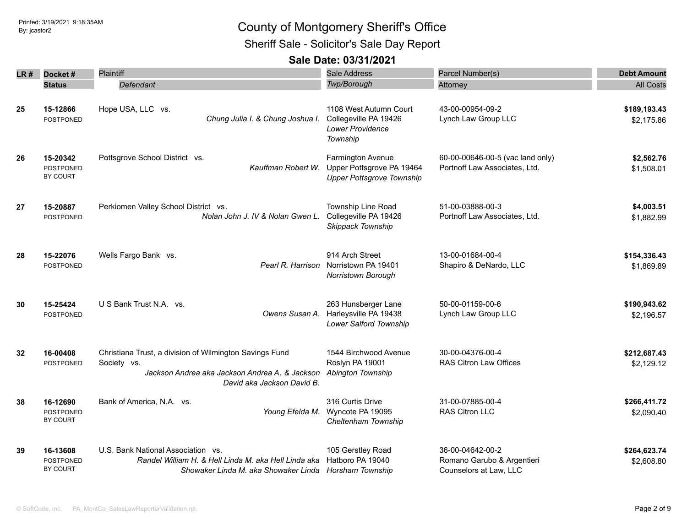Sheriff Sale - Solicitor's Sale Day Report

|                 |                                          | <b>Plaintiff</b>                                                                                                                                       | <b>Sale Address</b>                                                                       |                                                                          |                            |
|-----------------|------------------------------------------|--------------------------------------------------------------------------------------------------------------------------------------------------------|-------------------------------------------------------------------------------------------|--------------------------------------------------------------------------|----------------------------|
| LR #            | Docket#                                  |                                                                                                                                                        |                                                                                           | Parcel Number(s)                                                         | <b>Debt Amount</b>         |
|                 | <b>Status</b>                            | Defendant                                                                                                                                              | Twp/Borough                                                                               | Attorney                                                                 | <b>All Costs</b>           |
| 25              | 15-12866<br>POSTPONED                    | Hope USA, LLC vs.<br>Chung Julia I. & Chung Joshua I.                                                                                                  | 1108 West Autumn Court<br>Collegeville PA 19426<br><b>Lower Providence</b><br>Township    | 43-00-00954-09-2<br>Lynch Law Group LLC                                  | \$189,193.43<br>\$2,175.86 |
| 26              | 15-20342<br>POSTPONED<br>BY COURT        | Pottsgrove School District vs.<br>Kauffman Robert W.                                                                                                   | <b>Farmington Avenue</b><br>Upper Pottsgrove PA 19464<br><b>Upper Pottsgrove Township</b> | 60-00-00646-00-5 (vac land only)<br>Portnoff Law Associates, Ltd.        | \$2,562.76<br>\$1,508.01   |
| 27              | 15-20887<br>POSTPONED                    | Perkiomen Valley School District vs.<br>Nolan John J. IV & Nolan Gwen L.                                                                               | Township Line Road<br>Collegeville PA 19426<br>Skippack Township                          | 51-00-03888-00-3<br>Portnoff Law Associates, Ltd.                        | \$4,003.51<br>\$1,882.99   |
| 28              | 15-22076<br><b>POSTPONED</b>             | Wells Fargo Bank vs.<br>Pearl R. Harrison                                                                                                              | 914 Arch Street<br>Norristown PA 19401<br>Norristown Borough                              | 13-00-01684-00-4<br>Shapiro & DeNardo, LLC                               | \$154,336.43<br>\$1,869.89 |
| 30              | 15-25424<br><b>POSTPONED</b>             | U S Bank Trust N.A. vs.<br>Owens Susan A.                                                                                                              | 263 Hunsberger Lane<br>Harleysville PA 19438<br>Lower Salford Township                    | 50-00-01159-00-6<br>Lynch Law Group LLC                                  | \$190,943.62<br>\$2,196.57 |
| $32\phantom{a}$ | 16-00408<br>POSTPONED                    | Christiana Trust, a division of Wilmington Savings Fund<br>Society vs.<br>Jackson Andrea aka Jackson Andrea A. & Jackson<br>David aka Jackson David B. | 1544 Birchwood Avenue<br>Roslyn PA 19001<br>Abington Township                             | 30-00-04376-00-4<br><b>RAS Citron Law Offices</b>                        | \$212,687.43<br>\$2,129.12 |
| 38              | 16-12690<br><b>POSTPONED</b><br>BY COURT | Bank of America, N.A. vs.                                                                                                                              | 316 Curtis Drive<br>Young Efelda M. Wyncote PA 19095<br>Cheltenham Township               | 31-00-07885-00-4<br>RAS Citron LLC                                       | \$266,411.72<br>\$2,090.40 |
| 39              | 16-13608<br><b>POSTPONED</b><br>BY COURT | U.S. Bank National Association vs.<br>Randel William H. & Hell Linda M. aka Hell Linda aka<br>Showaker Linda M. aka Showaker Linda Horsham Township    | 105 Gerstley Road<br>Hatboro PA 19040                                                     | 36-00-04642-00-2<br>Romano Garubo & Argentieri<br>Counselors at Law, LLC | \$264,623.74<br>\$2,608.80 |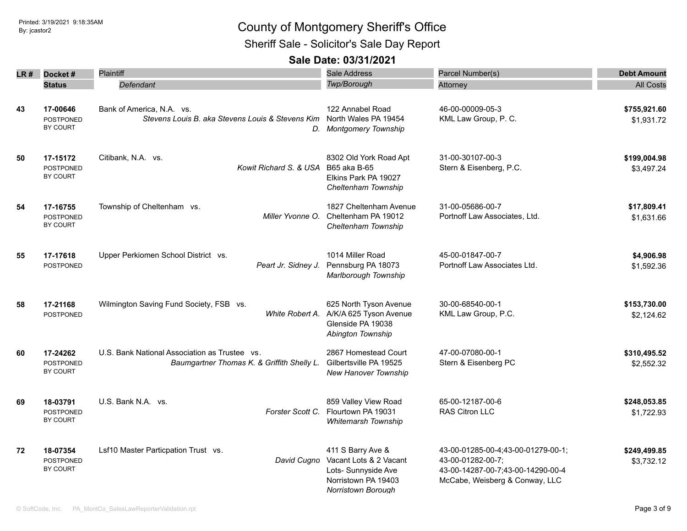Sheriff Sale - Solicitor's Sale Day Report

|    | $LR#$ Docket#                            | <b>Plaintiff</b>                                                                                   | Sale Address                                                                                                    | Parcel Number(s)                                                                                                               | <b>Debt Amount</b>         |
|----|------------------------------------------|----------------------------------------------------------------------------------------------------|-----------------------------------------------------------------------------------------------------------------|--------------------------------------------------------------------------------------------------------------------------------|----------------------------|
|    | <b>Status</b>                            | Defendant                                                                                          | Twp/Borough                                                                                                     | Attorney                                                                                                                       | <b>All Costs</b>           |
| 43 | 17-00646<br>POSTPONED<br>BY COURT        | Bank of America, N.A. vs.<br>Stevens Louis B. aka Stevens Louis & Stevens Kim North Wales PA 19454 | 122 Annabel Road<br>D. Montgomery Township                                                                      | 46-00-00009-05-3<br>KML Law Group, P. C.                                                                                       | \$755,921.60<br>\$1,931.72 |
| 50 | 17-15172<br><b>POSTPONED</b><br>BY COURT | Citibank, N.A. vs.<br>Kowit Richard S. & USA                                                       | 8302 Old York Road Apt<br>B65 aka B-65<br>Elkins Park PA 19027<br>Cheltenham Township                           | 31-00-30107-00-3<br>Stern & Eisenberg, P.C.                                                                                    | \$199,004.98<br>\$3.497.24 |
| 54 | 17-16755<br><b>POSTPONED</b><br>BY COURT | Township of Cheltenham vs.<br>Miller Yvonne O.                                                     | 1827 Cheltenham Avenue<br>Cheltenham PA 19012<br>Cheltenham Township                                            | 31-00-05686-00-7<br>Portnoff Law Associates, Ltd.                                                                              | \$17,809.41<br>\$1,631.66  |
| 55 | 17-17618<br><b>POSTPONED</b>             | Upper Perkiomen School District vs.<br>Peart Jr. Sidney J.                                         | 1014 Miller Road<br>Pennsburg PA 18073<br>Marlborough Township                                                  | 45-00-01847-00-7<br>Portnoff Law Associates Ltd.                                                                               | \$4,906.98<br>\$1,592.36   |
| 58 | 17-21168<br>POSTPONED                    | Wilmington Saving Fund Society, FSB vs.<br>White Robert A.                                         | 625 North Tyson Avenue<br>A/K/A 625 Tyson Avenue<br>Glenside PA 19038<br>Abington Township                      | 30-00-68540-00-1<br>KML Law Group, P.C.                                                                                        | \$153,730.00<br>\$2,124.62 |
| 60 | 17-24262<br>POSTPONED<br>BY COURT        | U.S. Bank National Association as Trustee vs.<br>Baumgartner Thomas K. & Griffith Shelly L.        | 2867 Homestead Court<br>Gilbertsville PA 19525<br>New Hanover Township                                          | 47-00-07080-00-1<br>Stern & Eisenberg PC                                                                                       | \$310,495.52<br>\$2,552.32 |
| 69 | 18-03791<br><b>POSTPONED</b><br>BY COURT | U.S. Bank N.A. vs.<br>Forster Scott C.                                                             | 859 Valley View Road<br>Flourtown PA 19031<br><b>Whitemarsh Township</b>                                        | 65-00-12187-00-6<br><b>RAS Citron LLC</b>                                                                                      | \$248,053.85<br>\$1,722.93 |
| 72 | 18-07354<br><b>POSTPONED</b><br>BY COURT | Lsf10 Master Particpation Trust vs.<br>David Cugno                                                 | 411 S Barry Ave &<br>Vacant Lots & 2 Vacant<br>Lots- Sunnyside Ave<br>Norristown PA 19403<br>Norristown Borough | 43-00-01285-00-4;43-00-01279-00-1;<br>43-00-01282-00-7;<br>43-00-14287-00-7;43-00-14290-00-4<br>McCabe, Weisberg & Conway, LLC | \$249,499.85<br>\$3,732.12 |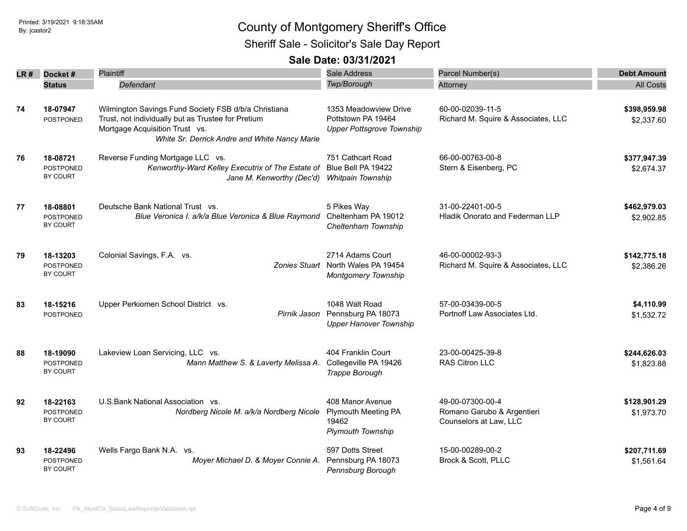Sheriff Sale - Solicitor's Sale Day Report

| LR # | Docket#          | Plaintiff                                            | <b>Sale Address</b>                | Parcel Number(s)                    | <b>Debt Amount</b> |
|------|------------------|------------------------------------------------------|------------------------------------|-------------------------------------|--------------------|
|      | <b>Status</b>    | Defendant                                            | Twp/Borough                        | Attorney                            | <b>All Costs</b>   |
|      |                  |                                                      |                                    |                                     |                    |
| 74   | 18-07947         | Wilmington Savings Fund Society FSB d/b/a Christiana | 1353 Meadowview Drive              | 60-00-02039-11-5                    | \$398,959.98       |
|      | <b>POSTPONED</b> | Trust, not individually but as Trustee for Pretium   | Pottstown PA 19464                 | Richard M. Squire & Associates, LLC | \$2,337.60         |
|      |                  | Mortgage Acquisition Trust vs.                       | <b>Upper Pottsgrove Township</b>   |                                     |                    |
|      |                  | White Sr. Derrick Andre and White Nancy Marie        |                                    |                                     |                    |
| 76   | 18-08721         | Reverse Funding Mortgage LLC vs.                     | 751 Cathcart Road                  | 66-00-00763-00-8                    | \$377,947.39       |
|      | <b>POSTPONED</b> | Kenworthy-Ward Kelley Executrix of The Estate of     | Blue Bell PA 19422                 | Stern & Eisenberg, PC               | \$2,674.37         |
|      | BY COURT         | Jane M. Kenworthy (Dec'd)                            | Whitpain Township                  |                                     |                    |
|      |                  |                                                      |                                    |                                     |                    |
| 77   | 18-08801         | Deutsche Bank National Trust vs.                     | 5 Pikes Way                        | 31-00-22401-00-5                    | \$462,979.03       |
|      | <b>POSTPONED</b> | Blue Veronica I. a/k/a Blue Veronica & Blue Raymond  | Cheltenham PA 19012                | Hladik Onorato and Federman LLP     | \$2,902.85         |
|      | BY COURT         |                                                      | Cheltenham Township                |                                     |                    |
|      |                  |                                                      |                                    |                                     |                    |
| 79   | 18-13203         | Colonial Savings, F.A. vs.                           | 2714 Adams Court                   | 46-00-00002-93-3                    | \$142,775.18       |
|      | <b>POSTPONED</b> |                                                      | Zonies Stuart North Wales PA 19454 | Richard M. Squire & Associates, LLC | \$2,386.26         |
|      | BY COURT         |                                                      | Montgomery Township                |                                     |                    |
|      |                  |                                                      |                                    |                                     |                    |
| 83   | 18-15216         | Upper Perkiomen School District vs.                  | 1048 Walt Road                     | 57-00-03439-00-5                    | \$4,110.99         |
|      | POSTPONED        | Pirnik Jason                                         | Pennsburg PA 18073                 | Portnoff Law Associates Ltd.        | \$1,532.72         |
|      |                  |                                                      | <b>Upper Hanover Township</b>      |                                     |                    |
|      |                  |                                                      |                                    |                                     |                    |
| 88   | 18-19090         | Lakeview Loan Servicing, LLC vs.                     | 404 Franklin Court                 | 23-00-00425-39-8                    | \$244,626.03       |
|      | <b>POSTPONED</b> | Mann Matthew S. & Laverty Melissa A.                 | Collegeville PA 19426              | <b>RAS Citron LLC</b>               | \$1,823.88         |
|      | BY COURT         |                                                      | Trappe Borough                     |                                     |                    |
|      |                  |                                                      |                                    |                                     |                    |
| 92   | 18-22163         | U.S. Bank National Association vs.                   | 408 Manor Avenue                   | 49-00-07300-00-4                    | \$128,901.29       |
|      | <b>POSTPONED</b> | Nordberg Nicole M. a/k/a Nordberg Nicole             | <b>Plymouth Meeting PA</b>         | Romano Garubo & Argentieri          | \$1,973.70         |
|      | BY COURT         |                                                      | 19462                              | Counselors at Law, LLC              |                    |
|      |                  |                                                      | <b>Plymouth Township</b>           |                                     |                    |
| 93   | 18-22496         | Wells Fargo Bank N.A. vs.                            | 597 Dotts Street                   | 15-00-00289-00-2                    | \$207,711.69       |
|      | POSTPONED        | Moyer Michael D. & Moyer Connie A.                   | Pennsburg PA 18073                 | Brock & Scott, PLLC                 | \$1,561.64         |
|      | BY COURT         |                                                      | Pennsburg Borough                  |                                     |                    |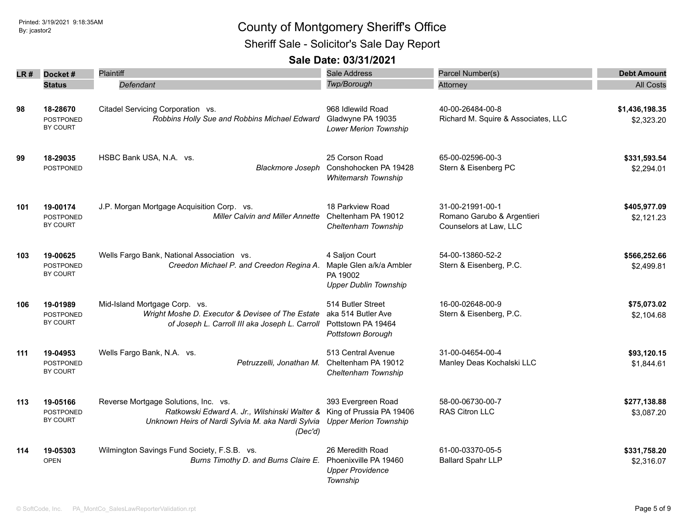Sheriff Sale - Solicitor's Sale Day Report

| LR# | Docket#                             | <b>Plaintiff</b>                                                      | <b>Sale Address</b>          | Parcel Number(s)                    | <b>Debt Amount</b> |
|-----|-------------------------------------|-----------------------------------------------------------------------|------------------------------|-------------------------------------|--------------------|
|     | <b>Status</b>                       | Defendant                                                             | <b>Twp/Borough</b>           | Attorney                            | <b>All Costs</b>   |
|     |                                     |                                                                       |                              |                                     |                    |
| 98  | 18-28670                            | Citadel Servicing Corporation vs.                                     | 968 Idlewild Road            | 40-00-26484-00-8                    | \$1,436,198.35     |
|     | POSTPONED                           | Robbins Holly Sue and Robbins Michael Edward                          | Gladwyne PA 19035            | Richard M. Squire & Associates, LLC | \$2,323.20         |
|     | BY COURT                            |                                                                       | <b>Lower Merion Township</b> |                                     |                    |
| 99  | 18-29035                            | HSBC Bank USA, N.A. vs.                                               | 25 Corson Road               | 65-00-02596-00-3                    | \$331,593.54       |
|     | POSTPONED                           | <b>Blackmore Joseph</b>                                               | Conshohocken PA 19428        | Stern & Eisenberg PC                | \$2,294.01         |
|     |                                     |                                                                       | Whitemarsh Township          |                                     |                    |
| 101 | 19-00174                            | J.P. Morgan Mortgage Acquisition Corp. vs.                            | 18 Parkview Road             | 31-00-21991-00-1                    | \$405,977.09       |
|     | POSTPONED                           | <b>Miller Calvin and Miller Annette</b>                               | Cheltenham PA 19012          | Romano Garubo & Argentieri          | \$2,121.23         |
|     | <b>BY COURT</b>                     |                                                                       | Cheltenham Township          | Counselors at Law, LLC              |                    |
| 103 | 19-00625                            | Wells Fargo Bank, National Association vs.                            | 4 Saljon Court               | 54-00-13860-52-2                    | \$566,252.66       |
|     | <b>POSTPONED</b>                    | Creedon Michael P. and Creedon Regina A.                              | Maple Glen a/k/a Ambler      | Stern & Eisenberg, P.C.             | \$2,499.81         |
|     | <b>BY COURT</b>                     |                                                                       | PA 19002                     |                                     |                    |
|     |                                     |                                                                       | <b>Upper Dublin Township</b> |                                     |                    |
| 106 | 19-01989                            | Mid-Island Mortgage Corp. vs.                                         | 514 Butler Street            | 16-00-02648-00-9                    | \$75,073.02        |
|     | <b>POSTPONED</b>                    | Wright Moshe D. Executor & Devisee of The Estate                      | aka 514 Butler Ave           | Stern & Eisenberg, P.C.             | \$2,104.68         |
|     | <b>BY COURT</b>                     | of Joseph L. Carroll III aka Joseph L. Carroll                        | Pottstown PA 19464           |                                     |                    |
|     |                                     |                                                                       | Pottstown Borough            |                                     |                    |
| 111 | 19-04953                            | Wells Fargo Bank, N.A. vs.                                            | 513 Central Avenue           | 31-00-04654-00-4                    | \$93,120.15        |
|     | <b>POSTPONED</b><br><b>BY COURT</b> | Petruzzelli, Jonathan M.                                              | Cheltenham PA 19012          | Manley Deas Kochalski LLC           | \$1,844.61         |
|     |                                     |                                                                       | Cheltenham Township          |                                     |                    |
| 113 | 19-05166                            | Reverse Mortgage Solutions, Inc. vs.                                  | 393 Evergreen Road           | 58-00-06730-00-7                    | \$277,138.88       |
|     | <b>POSTPONED</b>                    | Ratkowski Edward A. Jr., Wilshinski Walter & King of Prussia PA 19406 |                              | RAS Citron LLC                      | \$3,087.20         |
|     | BY COURT                            | Unknown Heirs of Nardi Sylvia M. aka Nardi Sylvia<br>(Dec'd)          | <b>Upper Merion Township</b> |                                     |                    |
| 114 | 19-05303                            | Wilmington Savings Fund Society, F.S.B. vs.                           | 26 Meredith Road             | 61-00-03370-05-5                    | \$331,758.20       |
|     | <b>OPEN</b>                         | Burns Timothy D. and Burns Claire E.                                  | Phoenixville PA 19460        | <b>Ballard Spahr LLP</b>            | \$2,316.07         |
|     |                                     |                                                                       | <b>Upper Providence</b>      |                                     |                    |
|     |                                     |                                                                       | Township                     |                                     |                    |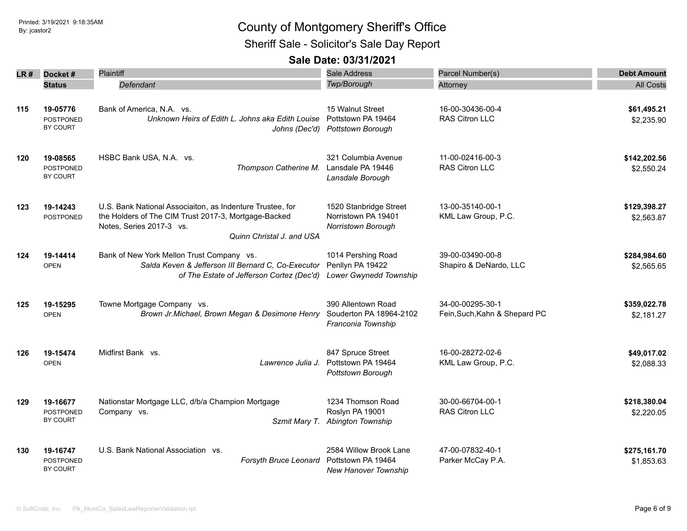Sheriff Sale - Solicitor's Sale Day Report

| LR # | Docket#                                  | Plaintiff                                                                                                                                                                  | <b>Sale Address</b>                                                         | Parcel Number(s)                                  | <b>Debt Amount</b>         |
|------|------------------------------------------|----------------------------------------------------------------------------------------------------------------------------------------------------------------------------|-----------------------------------------------------------------------------|---------------------------------------------------|----------------------------|
|      | <b>Status</b>                            | Defendant                                                                                                                                                                  | Twp/Borough                                                                 | Attorney                                          | <b>All Costs</b>           |
| 115  | 19-05776<br><b>POSTPONED</b><br>BY COURT | Bank of America, N.A. vs.<br>Unknown Heirs of Edith L. Johns aka Edith Louise<br>Johns (Dec'd)                                                                             | 15 Walnut Street<br>Pottstown PA 19464<br><b>Pottstown Borough</b>          | 16-00-30436-00-4<br>RAS Citron LLC                | \$61,495.21<br>\$2,235.90  |
| 120  | 19-08565<br><b>POSTPONED</b><br>BY COURT | HSBC Bank USA, N.A. vs.<br>Thompson Catherine M.                                                                                                                           | 321 Columbia Avenue<br>Lansdale PA 19446<br>Lansdale Borough                | 11-00-02416-00-3<br><b>RAS Citron LLC</b>         | \$142,202.56<br>\$2,550.24 |
| 123  | 19-14243<br><b>POSTPONED</b>             | U.S. Bank National Associaiton, as Indenture Trustee, for<br>the Holders of The CIM Trust 2017-3, Mortgage-Backed<br>Notes, Series 2017-3 vs.<br>Quinn Christal J. and USA | 1520 Stanbridge Street<br>Norristown PA 19401<br>Norristown Borough         | 13-00-35140-00-1<br>KML Law Group, P.C.           | \$129,398.27<br>\$2,563.87 |
| 124  | 19-14414<br><b>OPEN</b>                  | Bank of New York Mellon Trust Company vs.<br>Salda Keven & Jefferson III Bernard C. Co-Executor<br>of The Estate of Jefferson Cortez (Dec'd)                               | 1014 Pershing Road<br>Penllyn PA 19422<br>Lower Gwynedd Township            | 39-00-03490-00-8<br>Shapiro & DeNardo, LLC        | \$284,984.60<br>\$2,565.65 |
| 125  | 19-15295<br><b>OPEN</b>                  | Towne Mortgage Company vs.<br>Brown Jr.Michael, Brown Megan & Desimone Henry                                                                                               | 390 Allentown Road<br>Souderton PA 18964-2102<br>Franconia Township         | 34-00-00295-30-1<br>Fein, Such, Kahn & Shepard PC | \$359,022.78<br>\$2,181.27 |
| 126  | 19-15474<br><b>OPEN</b>                  | Midfirst Bank vs.<br>Lawrence Julia J.                                                                                                                                     | 847 Spruce Street<br>Pottstown PA 19464<br>Pottstown Borough                | 16-00-28272-02-6<br>KML Law Group, P.C.           | \$49,017.02<br>\$2,088.33  |
| 129  | 19-16677<br>POSTPONED<br>BY COURT        | Nationstar Mortgage LLC, d/b/a Champion Mortgage<br>Company vs.                                                                                                            | 1234 Thomson Road<br>Roslyn PA 19001<br>Szmit Mary T. Abington Township     | 30-00-66704-00-1<br>RAS Citron LLC                | \$218,380.04<br>\$2,220.05 |
| 130  | 19-16747<br><b>POSTPONED</b><br>BY COURT | U.S. Bank National Association vs.<br>Forsyth Bruce Leonard                                                                                                                | 2584 Willow Brook Lane<br>Pottstown PA 19464<br><b>New Hanover Township</b> | 47-00-07832-40-1<br>Parker McCay P.A.             | \$275,161.70<br>\$1,853.63 |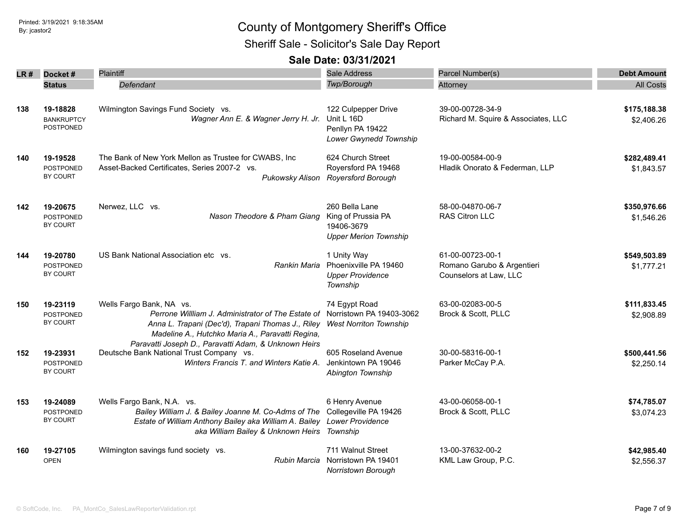Sheriff Sale - Solicitor's Sale Day Report

| LR# | Docket#           | Plaintiff                                                                                        | <b>Sale Address</b>           | Parcel Number(s)                    | <b>Debt Amount</b> |
|-----|-------------------|--------------------------------------------------------------------------------------------------|-------------------------------|-------------------------------------|--------------------|
|     | <b>Status</b>     | Defendant                                                                                        | Twp/Borough                   | Attorney                            | <b>All Costs</b>   |
|     |                   |                                                                                                  |                               |                                     |                    |
| 138 | 19-18828          | Wilmington Savings Fund Society vs.                                                              | 122 Culpepper Drive           | 39-00-00728-34-9                    | \$175,188.38       |
|     | <b>BANKRUPTCY</b> | Wagner Ann E. & Wagner Jerry H. Jr.                                                              | Unit L 16D                    | Richard M. Squire & Associates, LLC | \$2,406.26         |
|     | POSTPONED         |                                                                                                  | Penllyn PA 19422              |                                     |                    |
|     |                   |                                                                                                  | Lower Gwynedd Township        |                                     |                    |
| 140 | 19-19528          | The Bank of New York Mellon as Trustee for CWABS, Inc                                            | 624 Church Street             | 19-00-00584-00-9                    | \$282,489.41       |
|     | <b>POSTPONED</b>  | Asset-Backed Certificates, Series 2007-2 vs.                                                     | Royersford PA 19468           | Hladik Onorato & Federman, LLP      | \$1,843.57         |
|     | BY COURT          | Pukowsky Alison                                                                                  | <b>Royersford Borough</b>     |                                     |                    |
|     |                   |                                                                                                  |                               |                                     |                    |
| 142 | 19-20675          | Nerwez, LLC vs.                                                                                  | 260 Bella Lane                | 58-00-04870-06-7                    | \$350,976.66       |
|     | <b>POSTPONED</b>  | Nason Theodore & Pham Giang                                                                      | King of Prussia PA            | <b>RAS Citron LLC</b>               | \$1,546.26         |
|     | BY COURT          |                                                                                                  | 19406-3679                    |                                     |                    |
|     |                   |                                                                                                  | <b>Upper Merion Township</b>  |                                     |                    |
| 144 | 19-20780          | US Bank National Association etc vs.                                                             | 1 Unity Way                   | 61-00-00723-00-1                    | \$549,503.89       |
|     | <b>POSTPONED</b>  | Rankin Maria                                                                                     | Phoenixville PA 19460         | Romano Garubo & Argentieri          | \$1,777.21         |
|     | <b>BY COURT</b>   |                                                                                                  | <b>Upper Providence</b>       | Counselors at Law, LLC              |                    |
|     |                   |                                                                                                  | Township                      |                                     |                    |
| 150 | 19-23119          | Wells Fargo Bank, NA vs.                                                                         | 74 Egypt Road                 | 63-00-02083-00-5                    | \$111,833.45       |
|     | <b>POSTPONED</b>  | Perrone Willliam J. Administrator of The Estate of                                               | Norristown PA 19403-3062      | Brock & Scott, PLLC                 | \$2,908.89         |
|     | BY COURT          | Anna L. Trapani (Dec'd), Trapani Thomas J., Riley                                                | <b>West Norriton Township</b> |                                     |                    |
|     |                   | Madeline A., Hutchko Maria A., Paravatti Regina,                                                 |                               |                                     |                    |
| 152 | 19-23931          | Paravatti Joseph D., Paravatti Adam, & Unknown Heirs<br>Deutsche Bank National Trust Company vs. | 605 Roseland Avenue           | 30-00-58316-00-1                    | \$500,441.56       |
|     | <b>POSTPONED</b>  | Winters Francis T. and Winters Katie A.                                                          | Jenkintown PA 19046           | Parker McCay P.A.                   | \$2,250.14         |
|     | BY COURT          |                                                                                                  | Abington Township             |                                     |                    |
|     |                   |                                                                                                  |                               |                                     |                    |
| 153 | 19-24089          | Wells Fargo Bank, N.A. vs.                                                                       | 6 Henry Avenue                | 43-00-06058-00-1                    | \$74,785.07        |
|     | POSTPONED         | Bailey William J. & Bailey Joanne M. Co-Adms of The                                              | Collegeville PA 19426         | Brock & Scott, PLLC                 | \$3,074.23         |
|     | BY COURT          | Estate of William Anthony Bailey aka William A. Bailey Lower Providence                          |                               |                                     |                    |
|     |                   | aka William Bailey & Unknown Heirs Township                                                      |                               |                                     |                    |
| 160 | 19-27105          | Wilmington savings fund society vs.                                                              | 711 Walnut Street             | 13-00-37632-00-2                    | \$42,985.40        |
|     | <b>OPEN</b>       | Rubin Marcia                                                                                     | Norristown PA 19401           | KML Law Group, P.C.                 | \$2,556.37         |
|     |                   |                                                                                                  | <b>Norristown Borough</b>     |                                     |                    |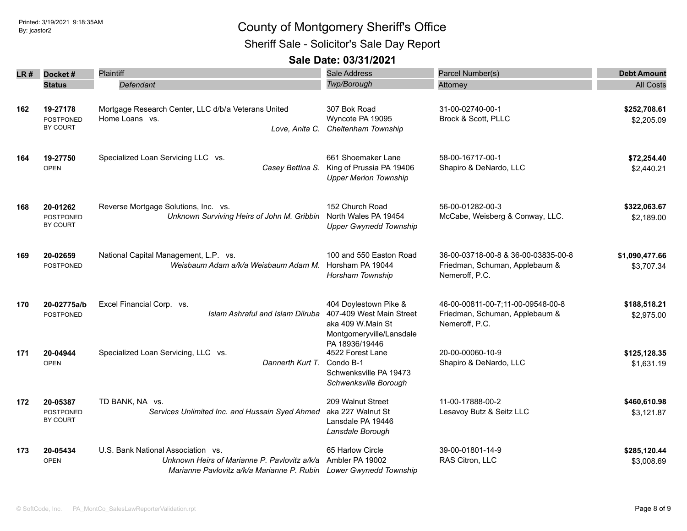Sheriff Sale - Solicitor's Sale Day Report

| LR # | Docket#                                  | <b>Plaintiff</b>                                                                                                                                        | Sale Address                                                                                       | Parcel Number(s)                                                                        | <b>Debt Amount</b>           |
|------|------------------------------------------|---------------------------------------------------------------------------------------------------------------------------------------------------------|----------------------------------------------------------------------------------------------------|-----------------------------------------------------------------------------------------|------------------------------|
|      | <b>Status</b>                            | Defendant                                                                                                                                               | Twp/Borough                                                                                        | Attorney                                                                                | <b>All Costs</b>             |
| 162  | 19-27178<br><b>POSTPONED</b><br>BY COURT | Mortgage Research Center, LLC d/b/a Veterans United<br>Home Loans vs.<br>Love, Anita C.                                                                 | 307 Bok Road<br>Wyncote PA 19095<br>Cheltenham Township                                            | 31-00-02740-00-1<br>Brock & Scott, PLLC                                                 | \$252,708.61<br>\$2,205.09   |
| 164  | 19-27750<br><b>OPEN</b>                  | Specialized Loan Servicing LLC vs.<br>Casey Bettina S.                                                                                                  | 661 Shoemaker Lane<br>King of Prussia PA 19406<br><b>Upper Merion Township</b>                     | 58-00-16717-00-1<br>Shapiro & DeNardo, LLC                                              | \$72,254.40<br>\$2,440.21    |
| 168  | 20-01262<br><b>POSTPONED</b><br>BY COURT | Reverse Mortgage Solutions, Inc. vs.<br>Unknown Surviving Heirs of John M. Gribbin                                                                      | 152 Church Road<br>North Wales PA 19454<br><b>Upper Gwynedd Township</b>                           | 56-00-01282-00-3<br>McCabe, Weisberg & Conway, LLC.                                     | \$322,063.67<br>\$2,189.00   |
| 169  | 20-02659<br><b>POSTPONED</b>             | National Capital Management, L.P. vs.<br>Weisbaum Adam a/k/a Weisbaum Adam M.                                                                           | 100 and 550 Easton Road<br>Horsham PA 19044<br>Horsham Township                                    | 36-00-03718-00-8 & 36-00-03835-00-8<br>Friedman, Schuman, Applebaum &<br>Nemeroff, P.C. | \$1,090,477.66<br>\$3,707.34 |
| 170  | 20-02775a/b<br><b>POSTPONED</b>          | Excel Financial Corp. vs.<br>Islam Ashraful and Islam Dilruba                                                                                           | 404 Doylestown Pike &<br>407-409 West Main Street<br>aka 409 W.Main St<br>Montgomeryville/Lansdale | 46-00-00811-00-7;11-00-09548-00-8<br>Friedman, Schuman, Applebaum &<br>Nemeroff, P.C.   | \$188,518.21<br>\$2,975.00   |
| 171  | 20-04944<br><b>OPEN</b>                  | Specialized Loan Servicing, LLC vs.<br>Dannerth Kurt T.                                                                                                 | PA 18936/19446<br>4522 Forest Lane<br>Condo B-1<br>Schwenksville PA 19473<br>Schwenksville Borough | 20-00-00060-10-9<br>Shapiro & DeNardo, LLC                                              | \$125,128.35<br>\$1,631.19   |
| 172  | 20-05387<br><b>POSTPONED</b><br>BY COURT | TD BANK, NA vs.<br>Services Unlimited Inc. and Hussain Syed Ahmed                                                                                       | 209 Walnut Street<br>aka 227 Walnut St<br>Lansdale PA 19446<br>Lansdale Borough                    | 11-00-17888-00-2<br>Lesavoy Butz & Seitz LLC                                            | \$460,610.98<br>\$3,121.87   |
| 173  | 20-05434<br><b>OPEN</b>                  | U.S. Bank National Association vs.<br>Unknown Heirs of Marianne P. Pavlovitz a/k/a<br>Marianne Pavlovitz a/k/a Marianne P. Rubin Lower Gwynedd Township | 65 Harlow Circle<br>Ambler PA 19002                                                                | 39-00-01801-14-9<br>RAS Citron, LLC                                                     | \$285,120.44<br>\$3,008.69   |